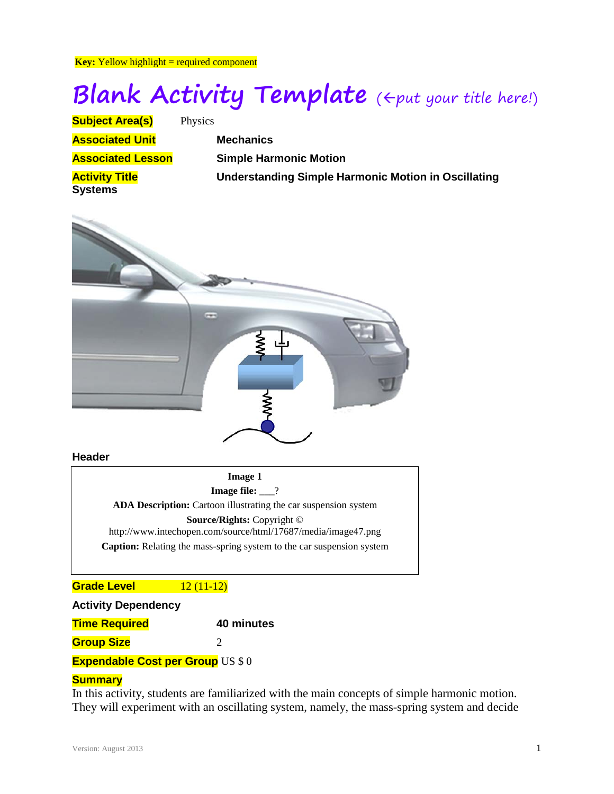**Key:** Yellow highlight = required component

# **Blank Activity Template** ( $\Leftarrow$ put your title here!)

| <b>Subject Area(s)</b>                  | Physics                                                    |
|-----------------------------------------|------------------------------------------------------------|
| <b>Associated Unit</b>                  | <b>Mechanics</b>                                           |
| <b>Associated Lesson</b>                | <b>Simple Harmonic Motion</b>                              |
| <b>Activity Title</b><br><b>Systems</b> | <b>Understanding Simple Harmonic Motion in Oscillating</b> |



#### **Header**

**Image 1 Image file:** \_\_\_? **ADA Description:** Cartoon illustrating the car suspension system **Source/Rights:** Copyright © http://www.intechopen.com/source/html/17687/media/image47.png **Caption:** Relating the mass-spring system to the car suspension system

# **Grade Level 12 (11-12)**

| <b>Activity Dependency</b>               |            |  |  |  |  |  |
|------------------------------------------|------------|--|--|--|--|--|
| <b>Time Required</b>                     | 40 minutes |  |  |  |  |  |
| <b>Group Size</b>                        |            |  |  |  |  |  |
| <b>Expendable Cost per Group US \$ 0</b> |            |  |  |  |  |  |

# **Summary**

In this activity, students are familiarized with the main concepts of simple harmonic motion. They will experiment with an oscillating system, namely, the mass-spring system and decide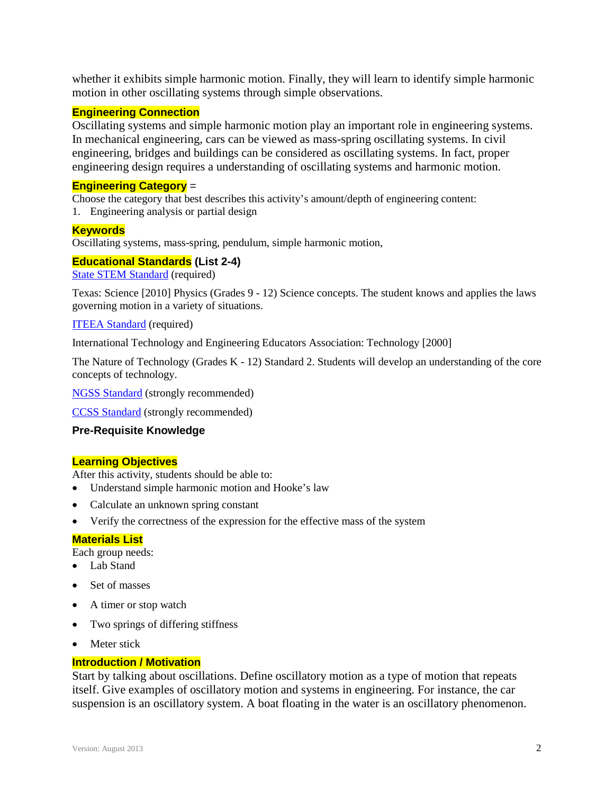whether it exhibits simple harmonic motion. Finally, they will learn to identify simple harmonic motion in other oscillating systems through simple observations.

### **Engineering Connection**

Oscillating systems and simple harmonic motion play an important role in engineering systems. In mechanical engineering, cars can be viewed as mass-spring oscillating systems. In civil engineering, bridges and buildings can be considered as oscillating systems. In fact, proper engineering design requires a understanding of oscillating systems and harmonic motion.

### **Engineering Category** =

Choose the category that best describes this activity's amount/depth of engineering content: 1. Engineering analysis or partial design

# **Keywords**

Oscillating systems, mass-spring, pendulum, simple harmonic motion,

#### **Educational Standards (List 2-4)**

State STEM [Standard](http://www.teachengineering.org/browse_standards.php?submitted=true&state=Common+Core+State+Standards+for+Mathematics&lowgrade=-1&highgrade=12&type=empty&date=latest&submit_button=Browse+Standards) (required)

Texas: Science [2010] Physics (Grades 9 - 12) Science concepts. The student knows and applies the laws governing motion in a variety of situations.

#### [ITEEA Standard](http://www.teachengineering.org/browse_standards.php?submitted=true&state=International+Technology+and+Engineering+Educators+Association&lowgrade=-1&highgrade=12&type=empty&date=latest&submit_button=Browse+Standards) (required)

International Technology and Engineering Educators Association: Technology [2000]

The Nature of Technology (Grades K - 12) Standard 2. Students will develop an understanding of the core concepts of technology.

[NGSS Standard](http://www.teachengineering.org/browse_standards.php?submitted=true&state=Next+Generation+Science+Standards&lowgrade=-1&highgrade=12&type=empty&date=latest&submit_button=Browse+Standards) (strongly recommended)

[CCSS Standard](http://www.teachengineering.org/browse_standards.php?submitted=true&state=Common+Core+State+Standards+for+Mathematics&lowgrade=-1&highgrade=12&type=empty&date=latest&submit_button=Browse+Standards) (strongly recommended)

### **Pre-Requisite Knowledge**

#### **Learning Objectives**

After this activity, students should be able to:

- Understand simple harmonic motion and Hooke's law
- Calculate an unknown spring constant
- Verify the correctness of the expression for the effective mass of the system

#### **Materials List**

Each group needs:

- Lab Stand
- Set of masses
- A timer or stop watch
- Two springs of differing stiffness
- Meter stick

#### **Introduction / Motivation**

Start by talking about oscillations. Define oscillatory motion as a type of motion that repeats itself. Give examples of oscillatory motion and systems in engineering. For instance, the car suspension is an oscillatory system. A boat floating in the water is an oscillatory phenomenon.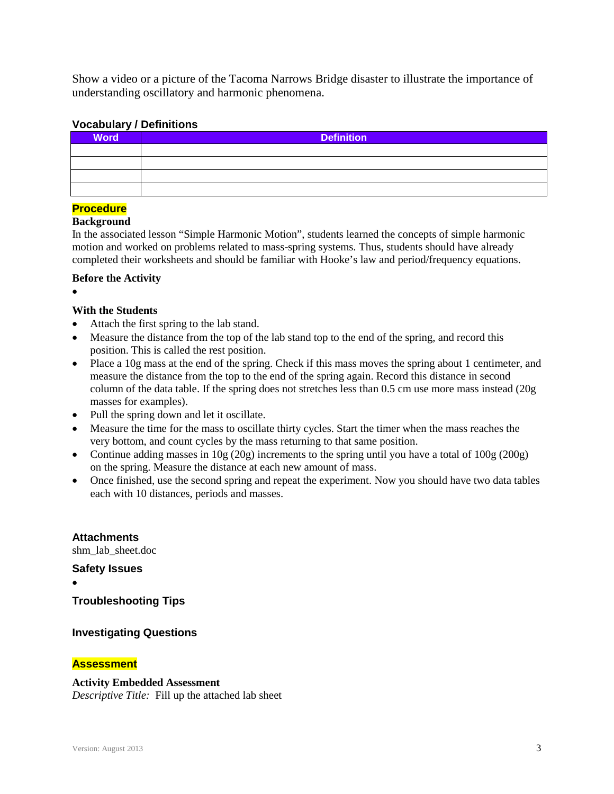Show a video or a picture of the Tacoma Narrows Bridge disaster to illustrate the importance of understanding oscillatory and harmonic phenomena.

# **Vocabulary / Definitions**

| <b>Word</b> | <b>Definition</b> |
|-------------|-------------------|
|             |                   |
|             |                   |
|             |                   |
|             |                   |

# **Procedure**

# **Background**

In the associated lesson "Simple Harmonic Motion", students learned the concepts of simple harmonic motion and worked on problems related to mass-spring systems. Thus, students should have already completed their worksheets and should be familiar with Hooke's law and period/frequency equations.

# **Before the Activity**

•

# **With the Students**

- Attach the first spring to the lab stand.
- Measure the distance from the top of the lab stand top to the end of the spring, and record this position. This is called the rest position.
- Place a 10g mass at the end of the spring. Check if this mass moves the spring about 1 centimeter, and measure the distance from the top to the end of the spring again. Record this distance in second column of the data table. If the spring does not stretches less than 0.5 cm use more mass instead (20g masses for examples).
- Pull the spring down and let it oscillate.
- Measure the time for the mass to oscillate thirty cycles. Start the timer when the mass reaches the very bottom, and count cycles by the mass returning to that same position.
- Continue adding masses in  $10g(20g)$  increments to the spring until you have a total of  $100g(200g)$ on the spring. Measure the distance at each new amount of mass.
- Once finished, use the second spring and repeat the experiment. Now you should have two data tables each with 10 distances, periods and masses.

**Attachments**

shm\_lab\_sheet.doc

**Safety Issues**

•

**Troubleshooting Tips**

# **Investigating Questions**

# **Assessment**

#### **Activity Embedded Assessment**

*Descriptive Title:* Fill up the attached lab sheet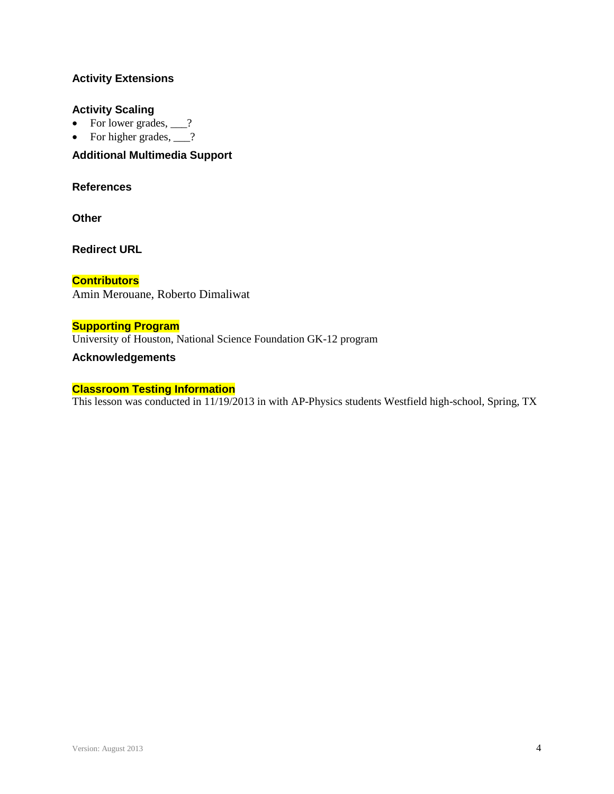# **Activity Extensions**

### **Activity Scaling**

- For lower grades,  $\frac{?}{?}$
- For higher grades,  $\qquad$ ?

# **Additional Multimedia Support**

# **References**

**Other**

**Redirect URL**

**Contributors** Amin Merouane, Roberto Dimaliwat

# **Supporting Program**

University of Houston, National Science Foundation GK-12 program

#### **Acknowledgements**

#### **Classroom Testing Information**

This lesson was conducted in 11/19/2013 in with AP-Physics students Westfield high-school, Spring, TX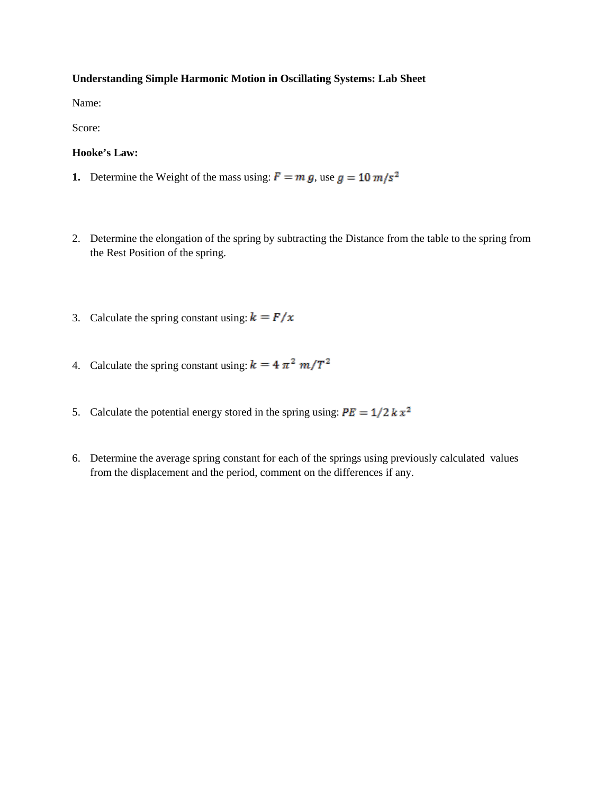#### **Understanding Simple Harmonic Motion in Oscillating Systems: Lab Sheet**

Name:

Score:

#### **Hooke's Law:**

- **1.** Determine the Weight of the mass using:  $F = m g$ , use  $g = 10 m/s^2$
- 2. Determine the elongation of the spring by subtracting the Distance from the table to the spring from the Rest Position of the spring.
- 3. Calculate the spring constant using:  $\mathbf{k} = \mathbf{F}/\mathbf{x}$
- 4. Calculate the spring constant using:  $k = 4 \pi^2 m / T^2$
- 5. Calculate the potential energy stored in the spring using:  $PE = 1/2 k x^2$
- 6. Determine the average spring constant for each of the springs using previously calculated values from the displacement and the period, comment on the differences if any.